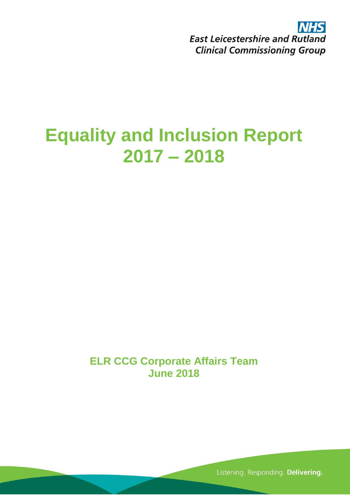NHS **East Leicestershire and Rutland Clinical Commissioning Group** 

# **Equality and Inclusion Report 2017 – 2018**

**ELR CCG Corporate Affairs Team June 2018**

Listening. Responding. Delivering.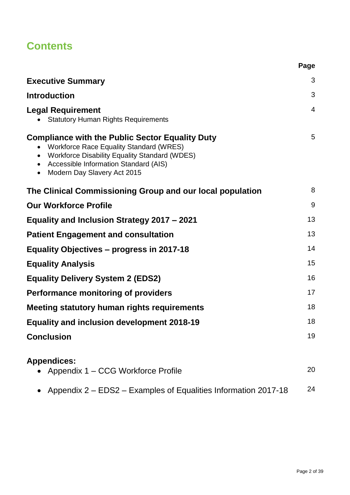# **Contents**

| <b>Executive Summary</b>                                                                                                                                                                                                                | 3              |
|-----------------------------------------------------------------------------------------------------------------------------------------------------------------------------------------------------------------------------------------|----------------|
| <b>Introduction</b>                                                                                                                                                                                                                     | 3              |
| <b>Legal Requirement</b><br><b>Statutory Human Rights Requirements</b>                                                                                                                                                                  | $\overline{4}$ |
| <b>Compliance with the Public Sector Equality Duty</b><br><b>Workforce Race Equality Standard (WRES)</b><br>• Workforce Disability Equality Standard (WDES)<br>• Accessible Information Standard (AIS)<br>• Modern Day Slavery Act 2015 | 5              |
| The Clinical Commissioning Group and our local population                                                                                                                                                                               | 8              |
| <b>Our Workforce Profile</b>                                                                                                                                                                                                            | 9              |
| Equality and Inclusion Strategy 2017 – 2021                                                                                                                                                                                             | 13             |
| <b>Patient Engagement and consultation</b>                                                                                                                                                                                              | 13             |
| Equality Objectives – progress in 2017-18                                                                                                                                                                                               | 14             |
| <b>Equality Analysis</b>                                                                                                                                                                                                                | 15             |
| <b>Equality Delivery System 2 (EDS2)</b>                                                                                                                                                                                                | 16             |
| <b>Performance monitoring of providers</b>                                                                                                                                                                                              | 17             |
| Meeting statutory human rights requirements                                                                                                                                                                                             | 18             |
| <b>Equality and inclusion development 2018-19</b>                                                                                                                                                                                       | 18             |
| <b>Conclusion</b>                                                                                                                                                                                                                       | 19             |
| <b>Appendices:</b><br>Appendix 1 – CCG Workforce Profile                                                                                                                                                                                | 20             |
| Appendix 2 – EDS2 – Examples of Equalities Information 2017-18                                                                                                                                                                          | 24             |

**Page**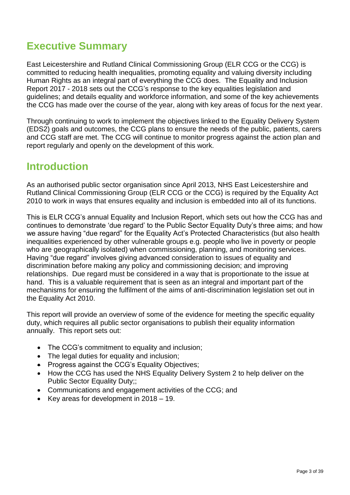# **Executive Summary**

East Leicestershire and Rutland Clinical Commissioning Group (ELR CCG or the CCG) is committed to reducing health inequalities, promoting equality and valuing diversity including Human Rights as an integral part of everything the CCG does. The Equality and Inclusion Report 2017 - 2018 sets out the CCG's response to the key equalities legislation and guidelines; and details equality and workforce information, and some of the key achievements the CCG has made over the course of the year, along with key areas of focus for the next year.

Through continuing to work to implement the objectives linked to the Equality Delivery System (EDS2) goals and outcomes, the CCG plans to ensure the needs of the public, patients, carers and CCG staff are met. The CCG will continue to monitor progress against the action plan and report regularly and openly on the development of this work.

### **Introduction**

As an authorised public sector organisation since April 2013, NHS East Leicestershire and Rutland Clinical Commissioning Group (ELR CCG or the CCG) is required by the Equality Act 2010 to work in ways that ensures equality and inclusion is embedded into all of its functions.

This is ELR CCG's annual Equality and Inclusion Report, which sets out how the CCG has and continues to demonstrate 'due regard' to the Public Sector Equality Duty's three aims; and how we assure having "due regard" for the Equality Act's Protected Characteristics (but also health inequalities experienced by other vulnerable groups e.g. people who live in poverty or people who are geographically isolated) when commissioning, planning, and monitoring services. Having "due regard" involves giving advanced consideration to issues of equality and discrimination before making any policy and commissioning decision; and improving relationships. Due regard must be considered in a way that is proportionate to the issue at hand. This is a valuable requirement that is seen as an integral and important part of the mechanisms for ensuring the fulfilment of the aims of anti-discrimination legislation set out in the Equality Act 2010.

This report will provide an overview of some of the evidence for meeting the specific equality duty, which requires all public sector organisations to publish their equality information annually. This report sets out:

- The CCG's commitment to equality and inclusion;
- The legal duties for equality and inclusion:
- Progress against the CCG's Equality Objectives;
- How the CCG has used the NHS Equality Delivery System 2 to help deliver on the Public Sector Equality Duty;;
- Communications and engagement activities of the CCG; and
- Key areas for development in 2018 19.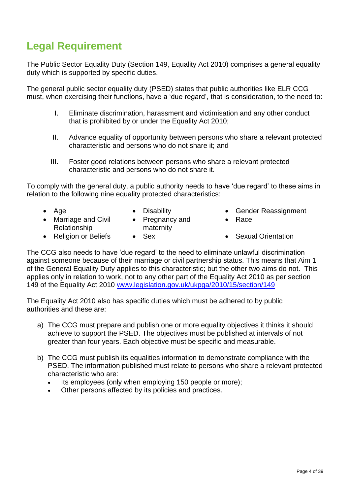# **Legal Requirement**

The Public Sector Equality Duty (Section 149, Equality Act 2010) comprises a general equality duty which is supported by specific duties.

The general public sector equality duty (PSED) states that public authorities like ELR CCG must, when exercising their functions, have a 'due regard', that is consideration, to the need to:

- I. Eliminate discrimination, harassment and victimisation and any other conduct that is prohibited by or under the Equality Act 2010;
- II. Advance equality of opportunity between persons who share a relevant protected characteristic and persons who do not share it; and
- III. Foster good relations between persons who share a relevant protected characteristic and persons who do not share it.

To comply with the general duty, a public authority needs to have 'due regard' to these aims in relation to the following nine equality protected characteristics:

- 
- Marriage and Civil Relationship
- Pregnancy and maternity
- 
- Age Disability Gender Reassignment
	- Race
- Religion or Beliefs Sex Sexual Orientation

The CCG also needs to have 'due regard' to the need to eliminate unlawful discrimination against someone because of their marriage or civil partnership status. This means that Aim 1 of the General Equality Duty applies to this characteristic; but the other two aims do not. This applies only in relation to work, not to any other part of the Equality Act 2010 as per section 149 of the Equality Act 2010 [www.legislation.gov.uk/ukpga/2010/15/section/149](http://www.legislation.gov.uk/ukpga/2010/15/section/149)

The Equality Act 2010 also has specific duties which must be adhered to by public authorities and these are:

- a) The CCG must prepare and publish one or more equality objectives it thinks it should achieve to support the PSED. The objectives must be published at intervals of not greater than four years. Each objective must be specific and measurable.
- b) The CCG must publish its equalities information to demonstrate compliance with the PSED. The information published must relate to persons who share a relevant protected characteristic who are:
	- Its employees (only when employing 150 people or more);
	- Other persons affected by its policies and practices.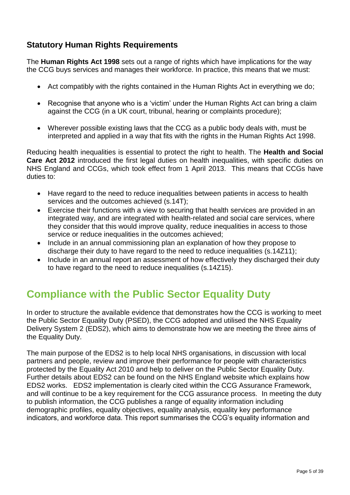### **Statutory Human Rights Requirements**

The **Human Rights Act 1998** sets out a range of rights which have implications for the way the CCG buys services and manages their workforce. In practice, this means that we must:

- Act compatibly with the rights contained in the Human Rights Act in everything we do;
- Recognise that anyone who is a 'victim' under the Human Rights Act can bring a claim against the CCG (in a UK court, tribunal, hearing or complaints procedure);
- Wherever possible existing laws that the CCG as a public body deals with, must be interpreted and applied in a way that fits with the rights in the Human Rights Act 1998.

Reducing health inequalities is essential to protect the right to health. The **Health and Social Care Act 2012** introduced the first legal duties on health inequalities, with specific duties on NHS England and CCGs, which took effect from 1 April 2013. This means that CCGs have duties to:

- Have regard to the need to reduce inequalities between patients in access to health services and the outcomes achieved (s.14T);
- Exercise their functions with a view to securing that health services are provided in an integrated way, and are integrated with health-related and social care services, where they consider that this would improve quality, reduce inequalities in access to those service or reduce inequalities in the outcomes achieved;
- Include in an annual commissioning plan an explanation of how they propose to discharge their duty to have regard to the need to reduce inequalities (s.14Z11);
- Include in an annual report an assessment of how effectively they discharged their duty to have regard to the need to reduce inequalities (s.14Z15).

# **Compliance with the Public Sector Equality Duty**

In order to structure the available evidence that demonstrates how the CCG is working to meet the Public Sector Equality Duty (PSED), the CCG adopted and utilised the NHS Equality Delivery System 2 (EDS2), which aims to demonstrate how we are meeting the three aims of the Equality Duty.

The main purpose of the EDS2 is to help local NHS organisations, in discussion with local partners and people, review and improve their performance for people with characteristics protected by the Equality Act 2010 and help to deliver on the Public Sector Equality Duty. Further details about EDS2 can be found on the NHS England website which explains how EDS2 works. EDS2 implementation is clearly cited within the CCG Assurance Framework, and will continue to be a key requirement for the CCG assurance process. In meeting the duty to publish information, the CCG publishes a range of equality information including demographic profiles, equality objectives, equality analysis, equality key performance indicators, and workforce data. This report summarises the CCG's equality information and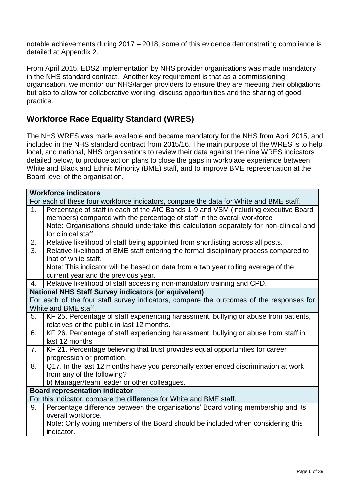notable achievements during 2017 – 2018, some of this evidence demonstrating compliance is detailed at Appendix 2.

From April 2015, EDS2 implementation by NHS provider organisations was made mandatory in the NHS standard contract. Another key requirement is that as a commissioning organisation, we monitor our NHS/larger providers to ensure they are meeting their obligations but also to allow for collaborative working, discuss opportunities and the sharing of good practice.

### **Workforce Race Equality Standard (WRES)**

The NHS WRES was made available and became mandatory for the NHS from April 2015, and included in the NHS standard contract from 2015/16. The main purpose of the WRES is to help local, and national, NHS organisations to review their data against the nine WRES indicators detailed below, to produce action plans to close the gaps in workplace experience between White and Black and Ethnic Minority (BME) staff, and to improve BME representation at the Board level of the organisation.

|                | <b>Workforce indicators</b>                                                             |
|----------------|-----------------------------------------------------------------------------------------|
|                | For each of these four workforce indicators, compare the data for White and BME staff.  |
| 1 <sub>1</sub> | Percentage of staff in each of the AfC Bands 1-9 and VSM (including executive Board     |
|                | members) compared with the percentage of staff in the overall workforce                 |
|                | Note: Organisations should undertake this calculation separately for non-clinical and   |
|                | for clinical staff.                                                                     |
| 2.             | Relative likelihood of staff being appointed from shortlisting across all posts.        |
| 3.             | Relative likelihood of BME staff entering the formal disciplinary process compared to   |
|                | that of white staff.                                                                    |
|                | Note: This indicator will be based on data from a two year rolling average of the       |
|                | current year and the previous year.                                                     |
| 4.             | Relative likelihood of staff accessing non-mandatory training and CPD.                  |
|                | <b>National NHS Staff Survey indicators (or equivalent)</b>                             |
|                | For each of the four staff survey indicators, compare the outcomes of the responses for |
|                | White and BME staff.                                                                    |
| 5.             | KF 25. Percentage of staff experiencing harassment, bullying or abuse from patients,    |
|                | relatives or the public in last 12 months.                                              |
| 6.             | KF 26. Percentage of staff experiencing harassment, bullying or abuse from staff in     |
|                | last 12 months                                                                          |
| 7.             | KF 21. Percentage believing that trust provides equal opportunities for career          |
|                | progression or promotion.                                                               |
| 8.             | Q17. In the last 12 months have you personally experienced discrimination at work       |
|                | from any of the following?                                                              |
|                | b) Manager/team leader or other colleagues.                                             |
|                | <b>Board representation indicator</b>                                                   |
|                | For this indicator, compare the difference for White and BME staff.                     |
| 9.             | Percentage difference between the organisations' Board voting membership and its        |
|                | overall workforce.                                                                      |
|                | Note: Only voting members of the Board should be included when considering this         |
|                | indicator.                                                                              |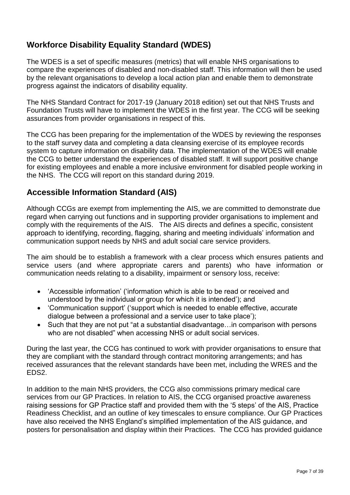### **Workforce Disability Equality Standard (WDES)**

The WDES is a set of specific measures (metrics) that will enable NHS organisations to compare the experiences of disabled and non-disabled staff. This information will then be used by the relevant organisations to develop a local action plan and enable them to demonstrate progress against the indicators of disability equality.

The NHS Standard Contract for 2017-19 (January 2018 edition) set out that NHS Trusts and Foundation Trusts will have to implement the WDES in the first year. The CCG will be seeking assurances from provider organisations in respect of this.

The CCG has been preparing for the implementation of the WDES by reviewing the responses to the staff survey data and completing a data cleansing exercise of its employee records system to capture information on disability data. The implementation of the WDES will enable the CCG to better understand the experiences of disabled staff. It will support positive change for existing employees and enable a more inclusive environment for disabled people working in the NHS. The CCG will report on this standard during 2019.

### **Accessible Information Standard (AIS)**

Although CCGs are exempt from implementing the AIS, we are committed to demonstrate due regard when carrying out functions and in supporting provider organisations to implement and comply with the requirements of the AIS. The AIS directs and defines a specific, consistent approach to identifying, recording, flagging, sharing and meeting individuals' information and communication support needs by NHS and adult social care service providers.

The aim should be to establish a framework with a clear process which ensures patients and service users (and where appropriate carers and parents) who have information or communication needs relating to a disability, impairment or sensory loss, receive:

- 'Accessible information' ('information which is able to be read or received and understood by the individual or group for which it is intended'); and
- 'Communication support' ('support which is needed to enable effective, accurate dialogue between a professional and a service user to take place');
- Such that they are not put "at a substantial disadvantage... in comparison with persons who are not disabled" when accessing NHS or adult social services.

During the last year, the CCG has continued to work with provider organisations to ensure that they are compliant with the standard through contract monitoring arrangements; and has received assurances that the relevant standards have been met, including the WRES and the EDS2.

In addition to the main NHS providers, the CCG also commissions primary medical care services from our GP Practices. In relation to AIS, the CCG organised proactive awareness raising sessions for GP Practice staff and provided them with the '5 steps' of the AIS, Practice Readiness Checklist, and an outline of key timescales to ensure compliance. Our GP Practices have also received the NHS England's simplified implementation of the AIS guidance, and posters for personalisation and display within their Practices. The CCG has provided guidance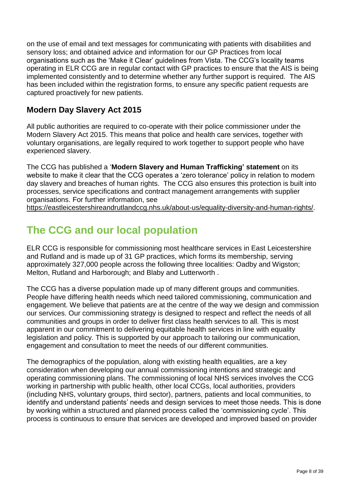on the use of email and text messages for communicating with patients with disabilities and sensory loss; and obtained advice and information for our GP Practices from local organisations such as the 'Make it Clear' guidelines from Vista. The CCG's locality teams operating in ELR CCG are in regular contact with GP practices to ensure that the AIS is being implemented consistently and to determine whether any further support is required. The AIS has been included within the registration forms, to ensure any specific patient requests are captured proactively for new patients.

### **Modern Day Slavery Act 2015**

All public authorities are required to co-operate with their police commissioner under the Modern Slavery Act 2015. This means that police and health care services, together with voluntary organisations, are legally required to work together to support people who have experienced slavery.

The CCG has published a '**Modern Slavery and Human Trafficking' statement** on its website to make it clear that the CCG operates a 'zero tolerance' policy in relation to modern day slavery and breaches of human rights. The CCG also ensures this protection is built into processes, service specifications and contract management arrangements with supplier organisations. For further information, see

[https://eastleicestershireandrutlandccg.nhs.uk/about-us/equality-diversity-and-human-rights/.](https://eastleicestershireandrutlandccg.nhs.uk/about-us/equality-diversity-and-human-rights/)

# **The CCG and our local population**

ELR CCG is responsible for commissioning most healthcare services in East Leicestershire and Rutland and is made up of 31 GP practices, which forms its membership, serving approximately 327,000 people across the following three localities: Oadby and Wigston; Melton, Rutland and Harborough; and Blaby and Lutterworth .

The CCG has a diverse population made up of many different groups and communities. People have differing health needs which need tailored commissioning, communication and engagement. We believe that patients are at the centre of the way we design and commission our services. Our commissioning strategy is designed to respect and reflect the needs of all communities and groups in order to deliver first class health services to all. This is most apparent in our commitment to delivering equitable health services in line with equality legislation and policy. This is supported by our approach to tailoring our communication, engagement and consultation to meet the needs of our different communities.

The demographics of the population, along with existing health equalities, are a key consideration when developing our annual commissioning intentions and strategic and operating commissioning plans. The commissioning of local NHS services involves the CCG working in partnership with public health, other local CCGs, local authorities, providers (including NHS, voluntary groups, third sector), partners, patients and local communities, to identify and understand patients' needs and design services to meet those needs. This is done by working within a structured and planned process called the 'commissioning cycle'. This process is continuous to ensure that services are developed and improved based on provider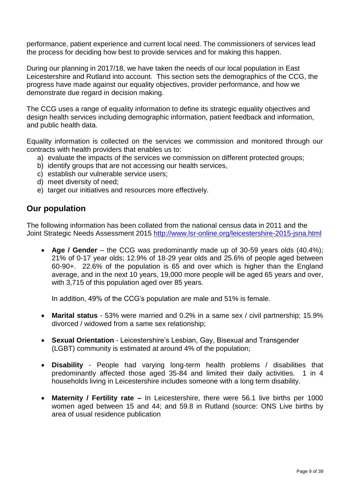performance, patient experience and current local need. The commissioners of services lead the process for deciding how best to provide services and for making this happen.

During our planning in 2017/18, we have taken the needs of our local population in East Leicestershire and Rutland into account. This section sets the demographics of the CCG, the progress have made against our equality objectives, provider performance, and how we demonstrate due regard in decision making.

The CCG uses a range of equality information to define its strategic equality objectives and design health services including demographic information, patient feedback and information, and public health data.

Equality information is collected on the services we commission and monitored through our contracts with health providers that enables us to:

- a) evaluate the impacts of the services we commission on different protected groups;
- b) identify groups that are not accessing our health services,
- c) establish our vulnerable service users;
- d) meet diversity of need;
- e) target our initiatives and resources more effectively.

### **Our population**

The following information has been collated from the national census data in 2011 and the Joint Strategic Needs Assessment 2015<http://www.lsr-online.org/leicestershire-2015-jsna.html>

 **Age / Gender** – the CCG was predominantly made up of 30-59 years olds (40.4%); 21% of 0-17 year olds; 12.9% of 18-29 year olds and 25.6% of people aged between 60-90+. 22.6% of the population is 65 and over which is higher than the England average, and in the next 10 years, 19,000 more people will be aged 65 years and over, with 3,715 of this population aged over 85 years.

In addition, 49% of the CCG's population are male and 51% is female.

- **Marital status** 53% were married and 0.2% in a same sex / civil partnership; 15.9% divorced / widowed from a same sex relationship;
- **Sexual Orientation**  Leicestershire's Lesbian, Gay, Bisexual and Transgender (LGBT) community is estimated at around 4% of the population;
- **Disability** People had varying long-term health problems / disabilities that predominantly affected those aged 35-84 and limited their daily activities. 1 in 4 households living in Leicestershire includes someone with a long term disability.
- **Maternity / Fertility rate –** In Leicestershire, there were 56.1 live births per 1000 women aged between 15 and 44; and 59.8 in Rutland (source: ONS Live births by area of usual residence publication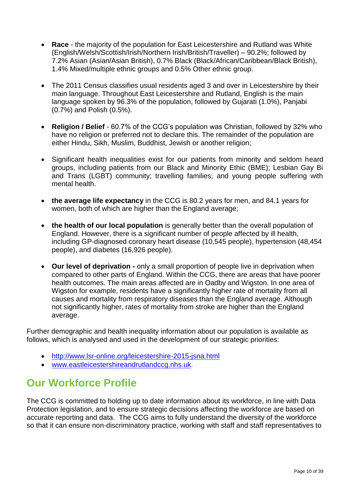- **Race** the majority of the population for East Leicestershire and Rutland was White (English/Welsh/Scottish/Irish/Northern Irish/British/Traveller) – 90.2%; followed by 7.2% Asian (Asian/Asian British), 0.7% Black (Black/African/Caribbean/Black British), 1.4% Mixed/multiple ethnic groups and 0.5% Other ethnic group.
- The 2011 Census classifies usual residents aged 3 and over in Leicestershire by their main language. Throughout East Leicestershire and Rutland, English is the main language spoken by 96.3% of the population, followed by Gujarati (1.0%), Panjabi (0.7%) and Polish (0.5%).
- **Religion / Belief** 60.7% of the CCG's population was Christian, followed by 32% who have no religion or preferred not to declare this. The remainder of the population are either Hindu, Sikh, Muslim, Buddhist, Jewish or another religion;
- Significant health inequalities exist for our patients from minority and seldom heard groups, including patients from our Black and Minority Ethic (BME); Lesbian Gay Bi and Trans (LGBT) community; travelling families; and young people suffering with mental health.
- **the average life expectancy** in the CCG is 80.2 years for men, and 84.1 years for women, both of which are higher than the England average;
- **the health of our local population** is generally better than the overall population of England. However, there is a significant number of people affected by ill health, including GP-diagnosed coronary heart disease (10,545 people), hypertension (48,454 people), and diabetes (16,926 people).
- **Our level of deprivation -** only a small proportion of people live in deprivation when compared to other parts of England. Within the CCG, there are areas that have poorer health outcomes. The main areas affected are in Oadby and Wigston. In one area of Wigston for example, residents have a significantly higher rate of mortality from all causes and mortality from respiratory diseases than the England average. Although not significantly higher, rates of mortality from stroke are higher than the England average.

Further demographic and health inequality information about our population is available as follows, which is analysed and used in the development of our strategic priorities:

- <http://www.lsr-online.org/leicestershire-2015-jsna.html>
- [www.eastleicestershireandrutlandccg.nhs.uk.](http://www.eastleicestershireandrutlandccg.nhs.uk/)

# **Our Workforce Profile**

The CCG is committed to holding up to date information about its workforce, in line with Data Protection legislation, and to ensure strategic decisions affecting the workforce are based on accurate reporting and data. The CCG aims to fully understand the diversity of the workforce so that it can ensure non-discriminatory practice, working with staff and staff representatives to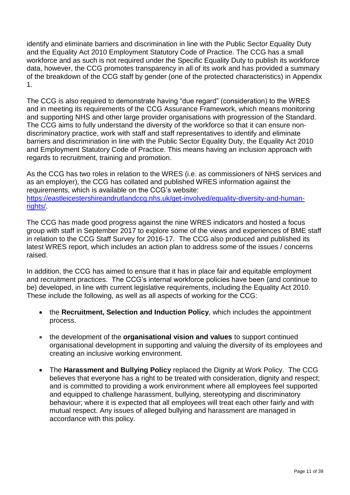identify and eliminate barriers and discrimination in line with the Public Sector Equality Duty and the Equality Act 2010 Employment Statutory Code of Practice. The CCG has a small workforce and as such is not required under the Specific Equality Duty to publish its workforce data, however, the CCG promotes transparency in all of its work and has provided a summary of the breakdown of the CCG staff by gender (one of the protected characteristics) in Appendix 1.

The CCG is also required to demonstrate having "due regard" (consideration) to the WRES and in meeting its requirements of the CCG Assurance Framework, which means monitoring and supporting NHS and other large provider organisations with progression of the Standard. The CCG aims to fully understand the diversity of the workforce so that it can ensure nondiscriminatory practice, work with staff and staff representatives to identify and eliminate barriers and discrimination in line with the Public Sector Equality Duty, the Equality Act 2010 and Employment Statutory Code of Practice. This means having an inclusion approach with regards to recruitment, training and promotion.

As the CCG has two roles in relation to the WRES (i.e. as commissioners of NHS services and as an employer), the CCG has collated and published WRES information against the requirements, which is available on the CCG's website: [https://eastleicestershireandrutlandccg.nhs.uk/get-involved/equality-diversity-and-human](https://eastleicestershireandrutlandccg.nhs.uk/get-involved/equality-diversity-and-human-rights/)[rights/.](https://eastleicestershireandrutlandccg.nhs.uk/get-involved/equality-diversity-and-human-rights/)

The CCG has made good progress against the nine WRES indicators and hosted a focus group with staff in September 2017 to explore some of the views and experiences of BME staff in relation to the CCG Staff Survey for 2016-17. The CCG also produced and published its latest WRES report, which includes an action plan to address some of the issues / concerns raised.

In addition, the CCG has aimed to ensure that it has in place fair and equitable employment and recruitment practices. The CCG's internal workforce policies have been (and continue to be) developed, in line with current legislative requirements, including the Equality Act 2010. These include the following, as well as all aspects of working for the CCG:

- the **Recruitment, Selection and Induction Policy**, which includes the appointment process.
- the development of the **organisational vision and values** to support continued organisational development in supporting and valuing the diversity of its employees and creating an inclusive working environment.
- The **Harassment and Bullying Policy** replaced the Dignity at Work Policy. The CCG believes that everyone has a right to be treated with consideration, dignity and respect: and is committed to providing a work environment where all employees feel supported and equipped to challenge harassment, bullying, stereotyping and discriminatory behaviour; where it is expected that all employees will treat each other fairly and with mutual respect. Any issues of alleged bullying and harassment are managed in accordance with this policy.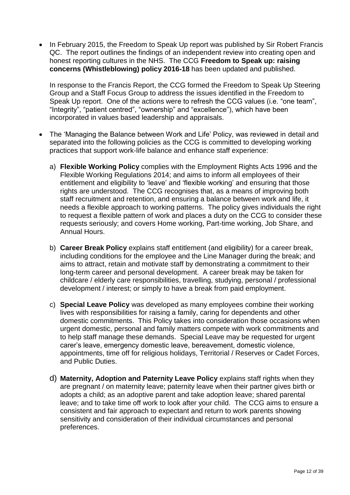• In February 2015, the Freedom to Speak Up report was published by Sir Robert Francis QC. The report outlines the findings of an independent review into creating open and honest reporting cultures in the NHS. The CCG **Freedom to Speak up: raising concerns (Whistleblowing) policy 2016-18** has been updated and published.

In response to the Francis Report, the CCG formed the Freedom to Speak Up Steering Group and a Staff Focus Group to address the issues identified in the Freedom to Speak Up report. One of the actions were to refresh the CCG values (i.e. "one team", "Integrity", "patient centred", "ownership" and "excellence"), which have been incorporated in values based leadership and appraisals.

- The 'Managing the Balance between Work and Life' Policy, was reviewed in detail and separated into the following policies as the CCG is committed to developing working practices that support work-life balance and enhance staff experience:
	- a) **Flexible Working Policy** complies with the Employment Rights Acts 1996 and the Flexible Working Regulations 2014; and aims to inform all employees of their entitlement and eligibility to 'leave' and 'flexible working' and ensuring that those rights are understood. The CCG recognises that, as a means of improving both staff recruitment and retention, and ensuring a balance between work and life, it needs a flexible approach to working patterns. The policy gives individuals the right to request a flexible pattern of work and places a duty on the CCG to consider these requests seriously; and covers Home working, Part-time working, Job Share, and Annual Hours.
	- b) **Career Break Policy** explains staff entitlement (and eligibility) for a career break, including conditions for the employee and the Line Manager during the break; and aims to attract, retain and motivate staff by demonstrating a commitment to their long-term career and personal development. A career break may be taken for childcare / elderly care responsibilities, travelling, studying, personal / professional development / interest; or simply to have a break from paid employment.
	- c) **Special Leave Policy** was developed as many employees combine their working lives with responsibilities for raising a family, caring for dependents and other domestic commitments. This Policy takes into consideration those occasions when urgent domestic, personal and family matters compete with work commitments and to help staff manage these demands. Special Leave may be requested for urgent carer's leave, emergency domestic leave, bereavement, domestic violence, appointments, time off for religious holidays, Territorial / Reserves or Cadet Forces, and Public Duties.
	- d) **Maternity, Adoption and Paternity Leave Policy** explains staff rights when they are pregnant / on maternity leave; paternity leave when their partner gives birth or adopts a child; as an adoptive parent and take adoption leave; shared parental leave; and to take time off work to look after your child. The CCG aims to ensure a consistent and fair approach to expectant and return to work parents showing sensitivity and consideration of their individual circumstances and personal preferences.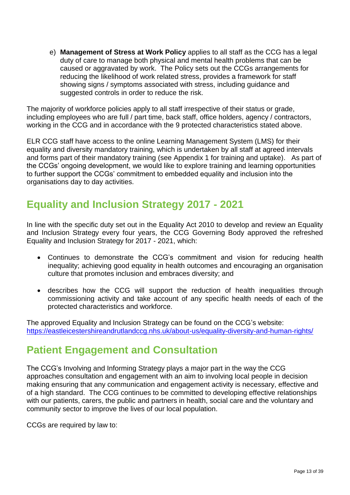e) **Management of Stress at Work Policy** applies to all staff as the CCG has a legal duty of care to manage both physical and mental health problems that can be caused or aggravated by work. The Policy sets out the CCGs arrangements for reducing the likelihood of work related stress, provides a framework for staff showing signs / symptoms associated with stress, including guidance and suggested controls in order to reduce the risk.

The majority of workforce policies apply to all staff irrespective of their status or grade, including employees who are full / part time, back staff, office holders, agency / contractors, working in the CCG and in accordance with the 9 protected characteristics stated above.

ELR CCG staff have access to the online Learning Management System (LMS) for their equality and diversity mandatory training, which is undertaken by all staff at agreed intervals and forms part of their mandatory training (see Appendix 1 for training and uptake). As part of the CCGs' ongoing development, we would like to explore training and learning opportunities to further support the CCGs' commitment to embedded equality and inclusion into the organisations day to day activities.

# **Equality and Inclusion Strategy 2017 - 2021**

In line with the specific duty set out in the Equality Act 2010 to develop and review an Equality and Inclusion Strategy every four years, the CCG Governing Body approved the refreshed Equality and Inclusion Strategy for 2017 - 2021, which:

- Continues to demonstrate the CCG's commitment and vision for reducing health inequality; achieving good equality in health outcomes and encouraging an organisation culture that promotes inclusion and embraces diversity; and
- describes how the CCG will support the reduction of health inequalities through commissioning activity and take account of any specific health needs of each of the protected characteristics and workforce.

The approved Equality and Inclusion Strategy can be found on the CCG's website: <https://eastleicestershireandrutlandccg.nhs.uk/about-us/equality-diversity-and-human-rights/>

### **Patient Engagement and Consultation**

The CCG's Involving and Informing Strategy plays a major part in the way the CCG approaches consultation and engagement with an aim to involving local people in decision making ensuring that any communication and engagement activity is necessary, effective and of a high standard. The CCG continues to be committed to developing effective relationships with our patients, carers, the public and partners in health, social care and the voluntary and community sector to improve the lives of our local population.

CCGs are required by law to: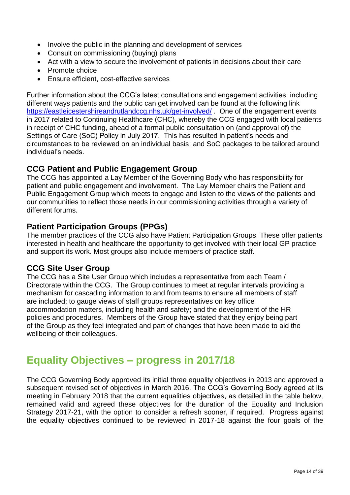- Involve the public in the planning and development of services
- Consult on commissioning (buying) plans
- Act with a view to secure the involvement of patients in decisions about their care
- Promote choice
- Ensure efficient, cost-effective services

Further information about the CCG's latest consultations and engagement activities, including different ways patients and the public can get involved can be found at the following link <https://eastleicestershireandrutlandccg.nhs.uk/get-involved/> . One of the engagement events in 2017 related to Continuing Healthcare (CHC), whereby the CCG engaged with local patients in receipt of CHC funding, ahead of a formal public consultation on (and approval of) the Settings of Care (SoC) Policy in July 2017. This has resulted in patient's needs and circumstances to be reviewed on an individual basis; and SoC packages to be tailored around individual's needs.

### **CCG Patient and Public Engagement Group**

The CCG has appointed a Lay Member of the Governing Body who has responsibility for patient and public engagement and involvement. The Lay Member chairs the Patient and Public Engagement Group which meets to engage and listen to the views of the patients and our communities to reflect those needs in our commissioning activities through a variety of different forums.

### **Patient Participation Groups (PPGs)**

The member practices of the CCG also have Patient Participation Groups. These offer patients interested in health and healthcare the opportunity to get involved with their local GP practice and support its work. Most groups also include members of practice staff.

#### **CCG Site User Group**

The CCG has a Site User Group which includes a representative from each Team / Directorate within the CCG. The Group continues to meet at regular intervals providing a mechanism for cascading information to and from teams to ensure all members of staff are included; to gauge views of staff groups representatives on key office accommodation matters, including health and safety; and the development of the HR policies and procedures. Members of the Group have stated that they enjoy being part of the Group as they feel integrated and part of changes that have been made to aid the wellbeing of their colleagues.

### **Equality Objectives – progress in 2017/18**

The CCG Governing Body approved its initial three equality objectives in 2013 and approved a subsequent revised set of objectives in March 2016. The CCG's Governing Body agreed at its meeting in February 2018 that the current equalities objectives, as detailed in the table below, remained valid and agreed these objectives for the duration of the Equality and Inclusion Strategy 2017-21, with the option to consider a refresh sooner, if required. Progress against the equality objectives continued to be reviewed in 2017-18 against the four goals of the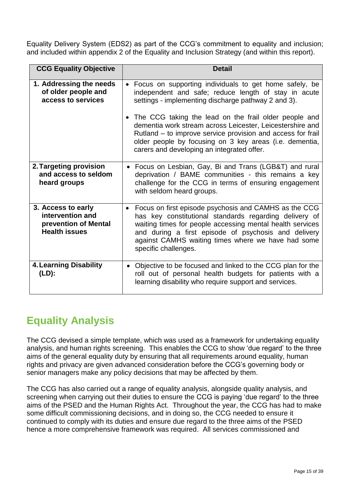Equality Delivery System (EDS2) as part of the CCG's commitment to equality and inclusion; and included within appendix 2 of the Equality and Inclusion Strategy (and within this report).

| <b>CCG Equality Objective</b>                                                          | <b>Detail</b>                                                                                                                                                                                                                                                                                                        |
|----------------------------------------------------------------------------------------|----------------------------------------------------------------------------------------------------------------------------------------------------------------------------------------------------------------------------------------------------------------------------------------------------------------------|
| 1. Addressing the needs<br>of older people and<br>access to services                   | • Focus on supporting individuals to get home safely, be<br>independent and safe; reduce length of stay in acute<br>settings - implementing discharge pathway 2 and 3).<br>• The CCG taking the lead on the frail older people and                                                                                   |
|                                                                                        | dementia work stream across Leicester, Leicestershire and<br>Rutland - to improve service provision and access for frail<br>older people by focusing on 3 key areas (i.e. dementia,<br>carers and developing an integrated offer.                                                                                    |
| 2. Targeting provision<br>and access to seldom<br>heard groups                         | • Focus on Lesbian, Gay, Bi and Trans (LGB&T) and rural<br>deprivation / BAME communities - this remains a key<br>challenge for the CCG in terms of ensuring engagement<br>with seldom heard groups.                                                                                                                 |
| 3. Access to early<br>intervention and<br>prevention of Mental<br><b>Health issues</b> | • Focus on first episode psychosis and CAMHS as the CCG<br>has key constitutional standards regarding delivery of<br>waiting times for people accessing mental health services<br>and during a first episode of psychosis and delivery<br>against CAMHS waiting times where we have had some<br>specific challenges. |
| <b>4. Learning Disability</b><br>(LD):                                                 | • Objective to be focused and linked to the CCG plan for the<br>roll out of personal health budgets for patients with a<br>learning disability who require support and services.                                                                                                                                     |

# **Equality Analysis**

The CCG devised a simple template, which was used as a framework for undertaking equality analysis, and human rights screening. This enables the CCG to show 'due regard' to the three aims of the general equality duty by ensuring that all requirements around equality, human rights and privacy are given advanced consideration before the CCG's governing body or senior managers make any policy decisions that may be affected by them.

The CCG has also carried out a range of equality analysis, alongside quality analysis, and screening when carrying out their duties to ensure the CCG is paying 'due regard' to the three aims of the PSED and the Human Rights Act. Throughout the year, the CCG has had to make some difficult commissioning decisions, and in doing so, the CCG needed to ensure it continued to comply with its duties and ensure due regard to the three aims of the PSED hence a more comprehensive framework was required. All services commissioned and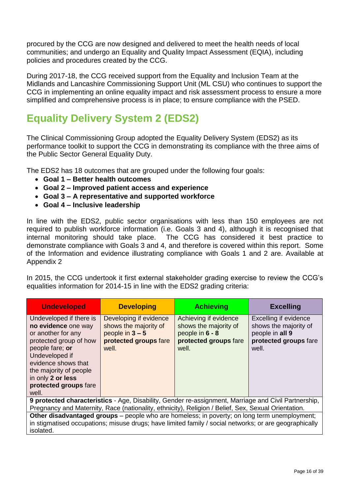procured by the CCG are now designed and delivered to meet the health needs of local communities; and undergo an Equality and Quality Impact Assessment (EQIA), including policies and procedures created by the CCG.

During 2017-18, the CCG received support from the Equality and Inclusion Team at the Midlands and Lancashire Commissioning Support Unit (ML CSU) who continues to support the CCG in implementing an online equality impact and risk assessment process to ensure a more simplified and comprehensive process is in place; to ensure compliance with the PSED.

# **Equality Delivery System 2 (EDS2)**

The Clinical Commissioning Group adopted the Equality Delivery System (EDS2) as its performance toolkit to support the CCG in demonstrating its compliance with the three aims of the Public Sector General Equality Duty.

The EDS2 has 18 outcomes that are grouped under the following four goals:

- **Goal 1 – Better health outcomes**
- **Goal 2 – Improved patient access and experience**
- **Goal 3 – A representative and supported workforce**
- **Goal 4 – Inclusive leadership**

In line with the EDS2, public sector organisations with less than 150 employees are not required to publish workforce information (i.e. Goals 3 and 4), although it is recognised that internal monitoring should take place. The CCG has considered it best practice to demonstrate compliance with Goals 3 and 4, and therefore is covered within this report. Some of the Information and evidence illustrating compliance with Goals 1 and 2 are. Available at Appendix 2

In 2015, the CCG undertook it first external stakeholder grading exercise to review the CCG's equalities information for 2014-15 in line with the EDS2 grading criteria:

| <b>Undeveloped</b>                                                                                                                                                                                                                          | <b>Developing</b>                                                                                      | <b>Achieving</b>                                                                                    | <b>Excelling</b>                                                                                    |  |  |  |
|---------------------------------------------------------------------------------------------------------------------------------------------------------------------------------------------------------------------------------------------|--------------------------------------------------------------------------------------------------------|-----------------------------------------------------------------------------------------------------|-----------------------------------------------------------------------------------------------------|--|--|--|
| Undeveloped if there is<br>no evidence one way<br>or another for any<br>protected group of how<br>people fare; or<br>Undeveloped if<br>evidence shows that<br>the majority of people<br>in only 2 or less<br>protected groups fare<br>well. | Developing if evidence<br>shows the majority of<br>people in $3 - 5$<br>protected groups fare<br>well. | Achieving if evidence<br>shows the majority of<br>people in 6 - 8<br>protected groups fare<br>well. | Excelling if evidence<br>shows the majority of<br>people in all 9<br>protected groups fare<br>well. |  |  |  |
| 9 protected characteristics - Age, Disability, Gender re-assignment, Marriage and Civil Partnership,<br>Pregnancy and Maternity, Race (nationality, ethnicity), Religion / Belief, Sex, Sexual Orientation.                                 |                                                                                                        |                                                                                                     |                                                                                                     |  |  |  |

Pregnancy and Maternity, Race (nationality, ethnicity), Religion / Belief, Sex, Sexual Orientation. **Other disadvantaged groups** – people who are homeless; in poverty; on long term unemployment; in stigmatised occupations; misuse drugs; have limited family / social networks; or are geographically isolated.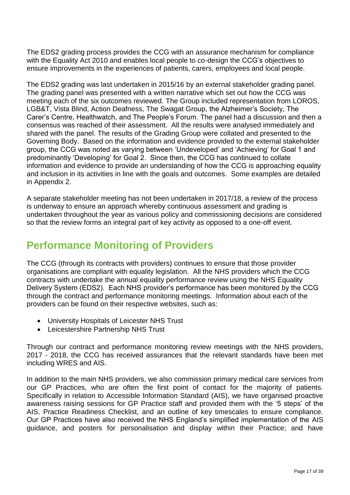The EDS2 grading process provides the CCG with an assurance mechanism for compliance with the Equality Act 2010 and enables local people to co-design the CCG's objectives to ensure improvements in the experiences of patients, carers, employees and local people.

The EDS2 grading was last undertaken in 2015/16 by an external stakeholder grading panel. The grading panel was presented with a written narrative which set out how the CCG was meeting each of the six outcomes reviewed. The Group included representation from LOROS, LGB&T, Vista Blind, Action Deafness, The Swagat Group, the Alzheimer's Society, The Carer's Centre, Healthwatch, and The People's Forum. The panel had a discussion and then a consensus was reached of their assessment. All the results were analysed immediately and shared with the panel. The results of the Grading Group were collated and presented to the Governing Body. Based on the information and evidence provided to the external stakeholder group, the CCG was noted as varying between 'Undeveloped' and 'Achieving' for Goal 1 and predominantly 'Developing' for Goal 2. Since then, the CCG has continued to collate information and evidence to provide an understanding of how the CCG is approaching equality and inclusion in its activities in line with the goals and outcomes. Some examples are detailed in Appendix 2.

A separate stakeholder meeting has not been undertaken in 2017/18, a review of the process is underway to ensure an approach whereby continuous assessment and grading is undertaken throughout the year as various policy and commissioning decisions are considered so that the review forms an integral part of key activity as opposed to a one-off event.

# **Performance Monitoring of Providers**

The CCG (through its contracts with providers) continues to ensure that those provider organisations are compliant with equality legislation. All the NHS providers which the CCG contracts with undertake the annual equality performance review using the NHS Equality Delivery System (EDS2). Each NHS provider's performance has been monitored by the CCG through the contract and performance monitoring meetings. Information about each of the providers can be found on their respective websites, such as:

- University Hospitals of Leicester NHS Trust
- Leicestershire Partnership NHS Trust

Through our contract and performance monitoring review meetings with the NHS providers, 2017 - 2018, the CCG has received assurances that the relevant standards have been met including WRES and AIS.

In addition to the main NHS providers, we also commission primary medical care services from our GP Practices, who are often the first point of contact for the majority of patients. Specifically in relation to Accessible Information Standard (AIS), we have organised proactive awareness raising sessions for GP Practice staff and provided them with the '5 steps' of the AIS, Practice Readiness Checklist, and an outline of key timescales to ensure compliance. Our GP Practices have also received the NHS England's simplified implementation of the AIS guidance, and posters for personalisation and display within their Practice; and have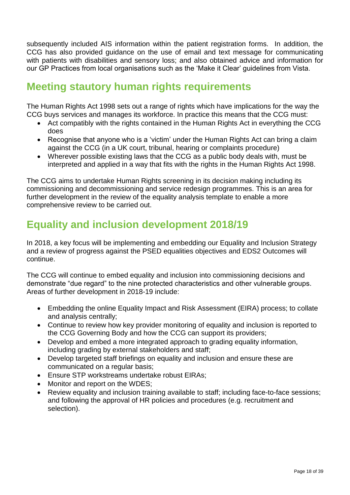subsequently included AIS information within the patient registration forms. In addition, the CCG has also provided guidance on the use of email and text message for communicating with patients with disabilities and sensory loss; and also obtained advice and information for our GP Practices from local organisations such as the 'Make it Clear' guidelines from Vista.

# **Meeting stautory human rights requirements**

The Human Rights Act 1998 sets out a range of rights which have implications for the way the CCG buys services and manages its workforce. In practice this means that the CCG must:

- Act compatibly with the rights contained in the Human Rights Act in everything the CCG does
- Recognise that anyone who is a 'victim' under the Human Rights Act can bring a claim against the CCG (in a UK court, tribunal, hearing or complaints procedure)
- Wherever possible existing laws that the CCG as a public body deals with, must be interpreted and applied in a way that fits with the rights in the Human Rights Act 1998.

The CCG aims to undertake Human Rights screening in its decision making including its commissioning and decommissioning and service redesign programmes. This is an area for further development in the review of the equality analysis template to enable a more comprehensive review to be carried out.

# **Equality and inclusion development 2018/19**

In 2018, a key focus will be implementing and embedding our Equality and Inclusion Strategy and a review of progress against the PSED equalities objectives and EDS2 Outcomes will continue.

The CCG will continue to embed equality and inclusion into commissioning decisions and demonstrate "due regard" to the nine protected characteristics and other vulnerable groups. Areas of further development in 2018-19 include:

- Embedding the online Equality Impact and Risk Assessment (EIRA) process; to collate and analysis centrally;
- Continue to review how key provider monitoring of equality and inclusion is reported to the CCG Governing Body and how the CCG can support its providers;
- Develop and embed a more integrated approach to grading equality information, including grading by external stakeholders and staff;
- Develop targeted staff briefings on equality and inclusion and ensure these are communicated on a regular basis;
- Ensure STP workstreams undertake robust EIRAs;
- Monitor and report on the WDES;
- Review equality and inclusion training available to staff; including face-to-face sessions; and following the approval of HR policies and procedures (e.g. recruitment and selection).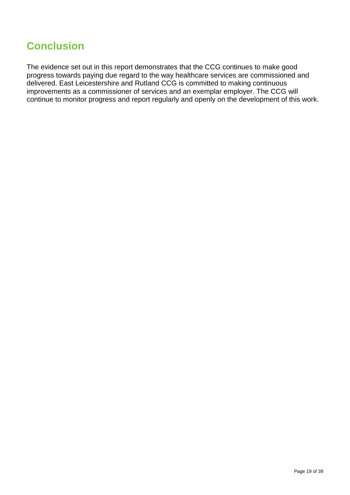# **Conclusion**

The evidence set out in this report demonstrates that the CCG continues to make good progress towards paying due regard to the way healthcare services are commissioned and delivered. East Leicestershire and Rutland CCG is committed to making continuous improvements as a commissioner of services and an exemplar employer. The CCG will continue to monitor progress and report regularly and openly on the development of this work.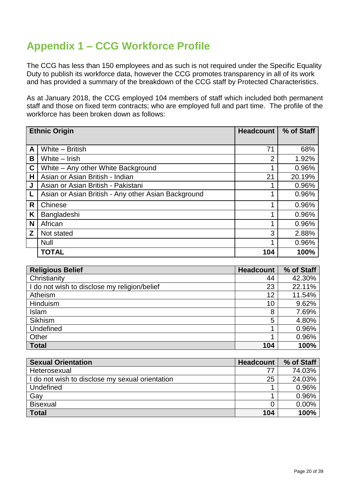# **Appendix 1 – CCG Workforce Profile**

The CCG has less than 150 employees and as such is not required under the Specific Equality Duty to publish its workforce data, however the CCG promotes transparency in all of its work and has provided a summary of the breakdown of the CCG staff by Protected Characteristics.

As at January 2018, the CCG employed 104 members of staff which included both permanent staff and those on fixed term contracts; who are employed full and part time. The profile of the workforce has been broken down as follows:

|             | <b>Ethnic Origin</b>                                | <b>Headcount</b> | % of Staff |
|-------------|-----------------------------------------------------|------------------|------------|
|             |                                                     |                  |            |
| A           | White - British                                     | 71               | 68%        |
| B           | White - Irish                                       | $\overline{2}$   | 1.92%      |
| $\mathbf c$ | White – Any other White Background                  |                  | 0.96%      |
| н           | Asian or Asian British - Indian                     | 21               | 20.19%     |
| J           | Asian or Asian British - Pakistani                  |                  | 0.96%      |
|             | Asian or Asian British - Any other Asian Background |                  | 0.96%      |
| R           | Chinese                                             |                  | 0.96%      |
| Κ           | Bangladeshi                                         |                  | 0.96%      |
| N           | African                                             |                  | 0.96%      |
| Z           | Not stated                                          | 3                | 2.88%      |
|             | <b>Null</b>                                         |                  | 0.96%      |
|             | <b>TOTAL</b>                                        | 104              | 100%       |

| <b>Religious Belief</b>                      | <b>Headcount</b> | % of Staff |
|----------------------------------------------|------------------|------------|
| Christianity                                 | 44               | 42.30%     |
| I do not wish to disclose my religion/belief | 23               | 22.11%     |
| Atheism                                      | 12               | 11.54%     |
| Hinduism                                     | 10               | 9.62%      |
| Islam                                        | 8                | 7.69%      |
| Sikhism                                      | 5                | 4.80%      |
| Undefined                                    |                  | 0.96%      |
| Other                                        |                  | 0.96%      |
| <b>Total</b>                                 | 104              | 100%       |

| <b>Sexual Orientation</b>                       | <b>Headcount</b> | % of Staff |
|-------------------------------------------------|------------------|------------|
| Heterosexual                                    | 77               | 74.03%     |
| I do not wish to disclose my sexual orientation | 25               | 24.03%     |
| Undefined                                       |                  | 0.96%      |
| Gay                                             |                  | 0.96%      |
| <b>Bisexual</b>                                 |                  | 0.00%      |
| <b>Total</b>                                    | 104              | 100%       |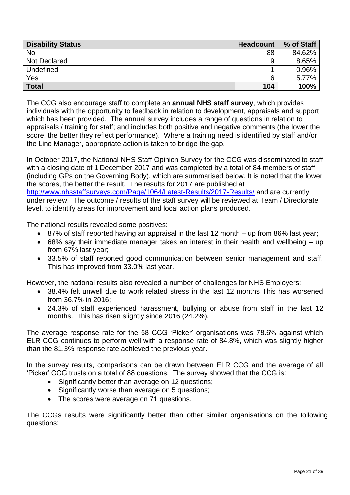| <b>Disability Status</b> | <b>Headcount</b> | % of Staff |
|--------------------------|------------------|------------|
| <b>No</b>                | 88               | 84.62%     |
| <b>Not Declared</b>      | 9                | 8.65%      |
| Undefined                |                  | 0.96%      |
| Yes                      |                  | 5.77%      |
| <b>Total</b>             | 104              | 100%       |

The CCG also encourage staff to complete an **annual NHS staff survey**, which provides individuals with the opportunity to feedback in relation to development, appraisals and support which has been provided. The annual survey includes a range of questions in relation to appraisals / training for staff; and includes both positive and negative comments (the lower the score, the better they reflect performance). Where a training need is identified by staff and/or the Line Manager, appropriate action is taken to bridge the gap.

In October 2017, the National NHS Staff Opinion Survey for the CCG was disseminated to staff with a closing date of 1 December 2017 and was completed by a total of 84 members of staff (including GPs on the Governing Body), which are summarised below. It is noted that the lower the scores, the better the result. The results for 2017 are published at <http://www.nhsstaffsurveys.com/Page/1064/Latest-Results/2017-Results/> and are currently under review. The outcome / results of the staff survey will be reviewed at Team / Directorate level, to identify areas for improvement and local action plans produced.

The national results revealed some positives:

- 87% of staff reported having an appraisal in the last 12 month up from 86% last year;
- 68% say their immediate manager takes an interest in their health and wellbeing up from 67% last year;
- 33.5% of staff reported good communication between senior management and staff. This has improved from 33.0% last year.

However, the national results also revealed a number of challenges for NHS Employers:

- 38.4% felt unwell due to work related stress in the last 12 months This has worsened from 36.7% in 2016;
- 24.3% of staff experienced harassment, bullying or abuse from staff in the last 12 months. This has risen slightly since 2016 (24.2%).

The average response rate for the 58 CCG 'Picker' organisations was 78.6% against which ELR CCG continues to perform well with a response rate of 84.8%, which was slightly higher than the 81.3% response rate achieved the previous year.

In the survey results, comparisons can be drawn between ELR CCG and the average of all 'Picker' CCG trusts on a total of 88 questions. The survey showed that the CCG is:

- Significantly better than average on 12 questions;
- Significantly worse than average on 5 questions;
- The scores were average on 71 questions.

The CCGs results were significantly better than other similar organisations on the following questions: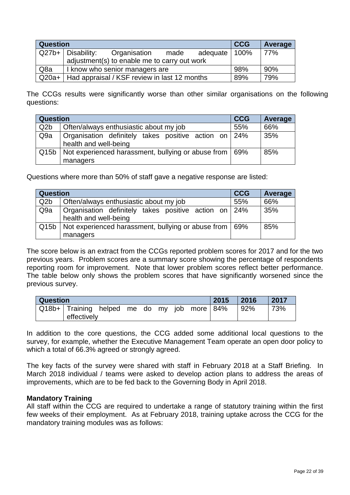| <b>Question</b>  |                                                      | <b>CCG</b> | Average         |     |     |
|------------------|------------------------------------------------------|------------|-----------------|-----|-----|
|                  | $Q27b+ $ Disability:<br>Organisation                 | made       | adequate   100% |     | 77% |
|                  | adjustment(s) to enable me to carry out work         |            |                 |     |     |
| Q <sub>8</sub> a | I know who senior managers are                       | 98%        | 90%             |     |     |
|                  | Q20a+   Had appraisal / KSF review in last 12 months |            |                 | 89% | 79% |

The CCGs results were significantly worse than other similar organisations on the following questions:

| <b>Question</b>  |                                                                               | <b>CCG</b> | Average |
|------------------|-------------------------------------------------------------------------------|------------|---------|
| Q <sub>2</sub> b | Often/always enthusiastic about my job                                        | 55%        | 66%     |
| Q <sub>9a</sub>  | Organisation definitely takes positive action on 24%<br>health and well-being |            | 35%     |
|                  | Q15b   Not experienced harassment, bullying or abuse from                     | 69%        | 85%     |
|                  | managers                                                                      |            |         |

Questions where more than 50% of staff gave a negative response are listed:

| <b>Question</b>  |                                                                               | <b>CCG</b> | Average |
|------------------|-------------------------------------------------------------------------------|------------|---------|
| Q <sub>2</sub> b | Often/always enthusiastic about my job                                        | 55%        | 66%     |
| Q <sub>9a</sub>  | Organisation definitely takes positive action on 24%<br>health and well-being |            | 35%     |
| Q15b             | Not experienced harassment, bullying or abuse from                            | 69%        | 85%     |
|                  | managers                                                                      |            |         |

The score below is an extract from the CCGs reported problem scores for 2017 and for the two previous years. Problem scores are a summary score showing the percentage of respondents reporting room for improvement. Note that lower problem scores reflect better performance. The table below only shows the problem scores that have significantly worsened since the previous survey.

| <b>Question</b> |                  |                 |  |  |  |     | 2015        | 2016 | 2017 |     |
|-----------------|------------------|-----------------|--|--|--|-----|-------------|------|------|-----|
|                 | Q18b+   Training | helped me do my |  |  |  | iob | more $ 84%$ |      | 92%  | 73% |
|                 | effectively      |                 |  |  |  |     |             |      |      |     |

In addition to the core questions, the CCG added some additional local questions to the survey, for example, whether the Executive Management Team operate an open door policy to which a total of 66.3% agreed or strongly agreed.

The key facts of the survey were shared with staff in February 2018 at a Staff Briefing. In March 2018 individual / teams were asked to develop action plans to address the areas of improvements, which are to be fed back to the Governing Body in April 2018.

#### **Mandatory Training**

All staff within the CCG are required to undertake a range of statutory training within the first few weeks of their employment. As at February 2018, training uptake across the CCG for the mandatory training modules was as follows: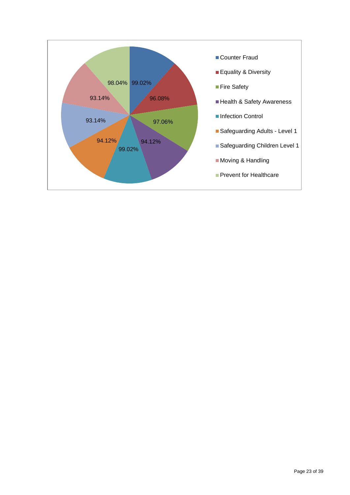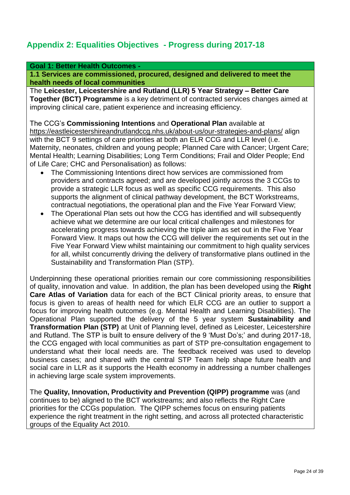### **Appendix 2: Equalities Objectives - Progress during 2017-18**

#### **Goal 1: Better Health Outcomes -**

**1.1 Services are commissioned, procured, designed and delivered to meet the health needs of local communities**

The **Leicester, Leicestershire and Rutland (LLR) 5 Year Strategy – Better Care Together (BCT) Programme** is a key detriment of contracted services changes aimed at improving clinical care, patient experience and increasing efficiency.

The CCG's **Commissioning Intentions** and **Operational Plan** available at <https://eastleicestershireandrutlandccg.nhs.uk/about-us/our-strategies-and-plans/> align with the BCT 9 settings of care priorities at both an ELR CCG and LLR level (i.e. Maternity, neonates, children and young people; Planned Care with Cancer; Urgent Care; Mental Health; Learning Disabilities; Long Term Conditions; Frail and Older People; End of Life Care; CHC and Personalisation) as follows:

- The Commissioning Intentions direct how services are commissioned from providers and contracts agreed; and are developed jointly across the 3 CCGs to provide a strategic LLR focus as well as specific CCG requirements. This also supports the alignment of clinical pathway development, the BCT Workstreams, contractual negotiations, the operational plan and the Five Year Forward View;
- The Operational Plan sets out how the CCG has identified and will subsequently achieve what we determine are our local critical challenges and milestones for accelerating progress towards achieving the triple aim as set out in the Five Year Forward View. It maps out how the CCG will deliver the requirements set out in the Five Year Forward View whilst maintaining our commitment to high quality services for all, whilst concurrently driving the delivery of transformative plans outlined in the Sustainability and Transformation Plan (STP).

Underpinning these operational priorities remain our core commissioning responsibilities of quality, innovation and value. In addition, the plan has been developed using the **Right Care Atlas of Variation** data for each of the BCT Clinical priority areas, to ensure that focus is given to areas of health need for which ELR CCG are an outlier to support a focus for improving health outcomes (e.g. Mental Health and Learning Disabilities). The Operational Plan supported the delivery of the 5 year system **Sustainability and Transformation Plan (STP)** at Unit of Planning level, defined as Leicester, Leicestershire and Rutland. The STP is built to ensure delivery of the 9 'Must Do's;' and during 2017-18, the CCG engaged with local communities as part of STP pre-consultation engagement to understand what their local needs are. The feedback received was used to develop business cases; and shared with the central STP Team help shape future health and social care in LLR as it supports the Health economy in addressing a number challenges in achieving large scale system improvements.

The **Quality, Innovation, Productivity and Prevention (QIPP) programme** was (and continues to be) aligned to the BCT workstreams; and also reflects the Right Care priorities for the CCGs population. The QIPP schemes focus on ensuring patients experience the right treatment in the right setting, and across all protected characteristic groups of the Equality Act 2010.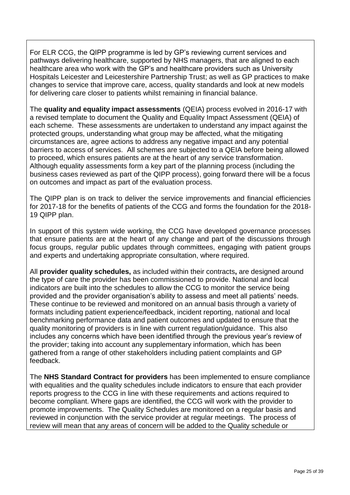For ELR CCG, the QIPP programme is led by GP's reviewing current services and pathways delivering healthcare, supported by NHS managers, that are aligned to each healthcare area who work with the GP's and healthcare providers such as University Hospitals Leicester and Leicestershire Partnership Trust; as well as GP practices to make changes to service that improve care, access, quality standards and look at new models for delivering care closer to patients whilst remaining in financial balance.

The **quality and equality impact assessments** (QEIA) process evolved in 2016-17 with a revised template to document the Quality and Equality Impact Assessment (QEIA) of each scheme. These assessments are undertaken to understand any impact against the protected groups, understanding what group may be affected, what the mitigating circumstances are, agree actions to address any negative impact and any potential barriers to access of services. All schemes are subjected to a QEIA before being allowed to proceed, which ensures patients are at the heart of any service transformation. Although equality assessments form a key part of the planning process (including the business cases reviewed as part of the QIPP process), going forward there will be a focus on outcomes and impact as part of the evaluation process.

The QIPP plan is on track to deliver the service improvements and financial efficiencies for 2017-18 for the benefits of patients of the CCG and forms the foundation for the 2018- 19 QIPP plan.

In support of this system wide working, the CCG have developed governance processes that ensure patients are at the heart of any change and part of the discussions through focus groups, regular public updates through committees, engaging with patient groups and experts and undertaking appropriate consultation, where required.

All **provider quality schedules,** as included within their contracts**,** are designed around the type of care the provider has been commissioned to provide. National and local indicators are built into the schedules to allow the CCG to monitor the service being provided and the provider organisation's ability to assess and meet all patients' needs. These continue to be reviewed and monitored on an annual basis through a variety of formats including patient experience/feedback, incident reporting, national and local benchmarking performance data and patient outcomes and updated to ensure that the quality monitoring of providers is in line with current regulation/guidance. This also includes any concerns which have been identified through the previous year's review of the provider; taking into account any supplementary information, which has been gathered from a range of other stakeholders including patient complaints and GP feedback.

The **NHS Standard Contract for providers** has been implemented to ensure compliance with equalities and the quality schedules include indicators to ensure that each provider reports progress to the CCG in line with these requirements and actions required to become compliant. Where gaps are identified, the CCG will work with the provider to promote improvements. The Quality Schedules are monitored on a regular basis and reviewed in conjunction with the service provider at regular meetings. The process of review will mean that any areas of concern will be added to the Quality schedule or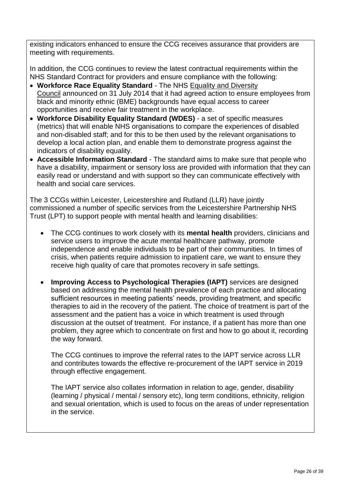existing indicators enhanced to ensure the CCG receives assurance that providers are meeting with requirements.

In addition, the CCG continues to review the latest contractual requirements within the NHS Standard Contract for providers and ensure compliance with the following:

- **Workforce Race Equality Standard** The NHS Equality and [Diversity](https://www.england.nhs.uk/about/gov/equality-hub/edc/)  [Council](https://www.england.nhs.uk/about/gov/equality-hub/edc/) announced on 31 July 2014 that it had agreed action to ensure employees from black and minority ethnic (BME) backgrounds have equal access to career opportunities and receive fair treatment in the workplace.
- **Workforce Disability Equality Standard (WDES)**  a set of specific measures (metrics) that will enable NHS organisations to compare the experiences of disabled and non-disabled staff; and for this to be then used by the relevant organisations to develop a local action plan, and enable them to demonstrate progress against the indicators of disability equality.
- **Accessible Information Standard** The standard aims to make sure that people who have a disability, impairment or sensory loss are provided with information that they can easily read or understand and with support so they can communicate effectively with health and social care services.

The 3 CCGs within Leicester, Leicestershire and Rutland (LLR) have jointly commissioned a number of specific services from the Leicestershire Partnership NHS Trust (LPT) to support people with mental health and learning disabilities:

- The CCG continues to work closely with its **mental health** providers, clinicians and service users to improve the acute mental healthcare pathway, promote independence and enable individuals to be part of their communities. In times of crisis, when patients require admission to inpatient care, we want to ensure they receive high quality of care that promotes recovery in safe settings.
- **Improving Access to Psychological Therapies (IAPT)** services are designed based on addressing the mental health prevalence of each practice and allocating sufficient resources in meeting patients' needs, providing treatment, and specific therapies to aid in the recovery of the patient. The choice of treatment is part of the assessment and the patient has a voice in which treatment is used through discussion at the outset of treatment. For instance, if a patient has more than one problem, they agree which to concentrate on first and how to go about it, recording the way forward.

The CCG continues to improve the referral rates to the IAPT service across LLR and contributes towards the effective re-procurement of the IAPT service in 2019 through effective engagement.

The IAPT service also collates information in relation to age, gender, disability (learning / physical / mental / sensory etc), long term conditions, ethnicity, religion and sexual orientation, which is used to focus on the areas of under representation in the service.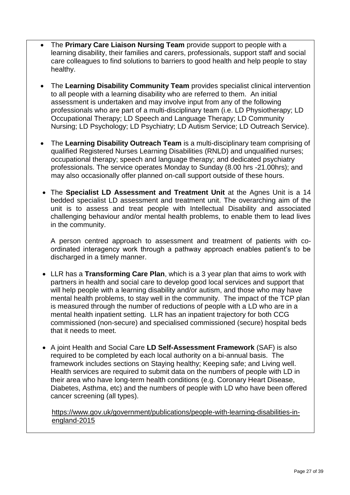- The **Primary Care Liaison Nursing Team** provide support to people with a learning disability, their families and carers, professionals, support staff and social care colleagues to find solutions to barriers to good health and help people to stay healthy.
- The **Learning Disability Community Team** provides specialist clinical intervention to all people with a learning disability who are referred to them. An initial assessment is undertaken and may involve input from any of the following professionals who are part of a multi-disciplinary team (i.e. LD Physiotherapy; LD Occupational Therapy; LD Speech and Language Therapy; LD Community Nursing; LD Psychology; LD Psychiatry; LD Autism Service; LD Outreach Service).
- The **Learning Disability Outreach Team** is a multi-disciplinary team comprising of qualified Registered Nurses Learning Disabilities (RNLD) and unqualified nurses; occupational therapy; speech and language therapy; and dedicated psychiatry professionals. The service operates Monday to Sunday (8.00 hrs -21.00hrs); and may also occasionally offer planned on-call support outside of these hours.
- The **Specialist LD Assessment and Treatment Unit** at the Agnes Unit is a 14 bedded specialist LD assessment and treatment unit. The overarching aim of the unit is to assess and treat people with Intellectual Disability and associated challenging behaviour and/or mental health problems, to enable them to lead lives in the community.

A person centred approach to assessment and treatment of patients with coordinated interagency work through a pathway approach enables patient's to be discharged in a timely manner.

- LLR has a **Transforming Care Plan**, which is a 3 year plan that aims to work with partners in health and social care to develop good local services and support that will help people with a learning disability and/or autism, and those who may have mental health problems, to stay well in the community. The impact of the TCP plan is measured through the number of reductions of people with a LD who are in a mental health inpatient setting. LLR has an inpatient trajectory for both CCG commissioned (non-secure) and specialised commissioned (secure) hospital beds that it needs to meet.
- A joint Health and Social Care **LD Self-Assessment Framework** (SAF) is also required to be completed by each local authority on a bi-annual basis. The framework includes sections on Staying healthy; Keeping safe; and Living well. Health services are required to submit data on the numbers of people with LD in their area who have long-term health conditions (e.g. Coronary Heart Disease, Diabetes, Asthma, etc) and the numbers of people with LD who have been offered cancer screening (all types).

[https://www.gov.uk/government/publications/people-with-learning-disabilities-in](https://www.gov.uk/government/publications/people-with-learning-disabilities-in-england-2015)[england-2015](https://www.gov.uk/government/publications/people-with-learning-disabilities-in-england-2015)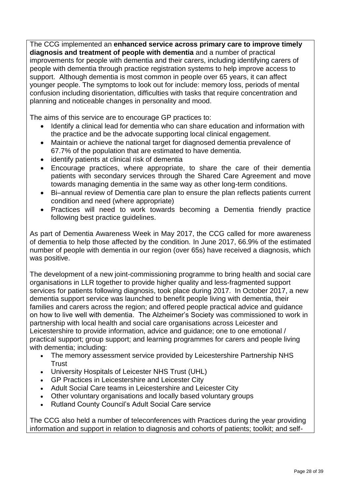The CCG implemented an **enhanced service across primary care to improve timely diagnosis and treatment of people with dementia** and a number of practical improvements for people with dementia and their carers, including identifying carers of people with dementia through practice registration systems to help improve access to support. Although dementia is most common in people over 65 years, it can affect younger people. The symptoms to look out for include: memory loss, periods of mental confusion including disorientation, difficulties with tasks that require concentration and planning and noticeable changes in personality and mood.

The aims of this service are to encourage GP practices to:

- Identify a clinical lead for dementia who can share education and information with the practice and be the advocate supporting local clinical engagement.
- Maintain or achieve the national target for diagnosed dementia prevalence of 67.7% of the population that are estimated to have dementia.
- identify patients at clinical risk of dementia
- Encourage practices, where appropriate, to share the care of their dementia patients with secondary services through the Shared Care Agreement and move towards managing dementia in the same way as other long-term conditions.
- Bi–annual review of Dementia care plan to ensure the plan reflects patients current condition and need (where appropriate)
- Practices will need to work towards becoming a Dementia friendly practice following best practice guidelines.

As part of Dementia Awareness Week in May 2017, the CCG called for more awareness of dementia to help those affected by the condition. In June 2017, 66.9% of the estimated number of people with dementia in our region (over 65s) have received a diagnosis, which was positive.

The development of a new joint-commissioning programme to bring health and social care organisations in LLR together to provide higher quality and less-fragmented support services for patients following diagnosis, took place during 2017. In October 2017, a new dementia support service was launched to benefit people living with dementia, their families and carers across the region; and offered people practical advice and guidance on how to live well with dementia. The Alzheimer's Society was commissioned to work in partnership with local health and social care organisations across Leicester and Leicestershire to provide information, advice and guidance; one to one emotional / practical support; group support; and learning programmes for carers and people living with dementia; including:

- The memory assessment service provided by Leicestershire Partnership NHS **Trust**
- University Hospitals of Leicester NHS Trust (UHL)
- GP Practices in Leicestershire and Leicester City
- Adult Social Care teams in Leicestershire and Leicester City
- Other voluntary organisations and locally based voluntary groups
- Rutland County Council's Adult Social Care service

The CCG also held a number of teleconferences with Practices during the year providing information and support in relation to diagnosis and cohorts of patients; toolkit; and self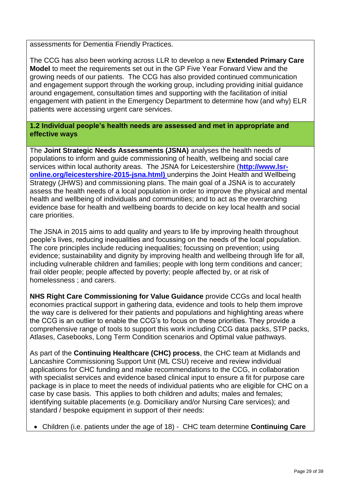assessments for Dementia Friendly Practices.

The CCG has also been working across LLR to develop a new **Extended Primary Care Model** to meet the requirements set out in the GP Five Year Forward View and the growing needs of our patients. The CCG has also provided continued communication and engagement support through the working group, including providing initial guidance around engagement, consultation times and supporting with the facilitation of initial engagement with patient in the Emergency Department to determine how (and why) ELR patients were accessing urgent care services.

#### **1.2 Individual people's health needs are assessed and met in appropriate and effective ways**

The **Joint Strategic Needs Assessments (JSNA)** analyses the health needs of populations to inform and guide commissioning of health, wellbeing and social care services within local authority areas. The JSNA for Leicestershire (**[http://www.lsr](http://www.lsr-online.org/leicestershire-2015-jsna.html)[online.org/leicestershire-2015-jsna.html\)](http://www.lsr-online.org/leicestershire-2015-jsna.html)** underpins the Joint Health and Wellbeing Strategy (JHWS) and commissioning plans. The main goal of a JSNA is to accurately assess the health needs of a local population in order to improve the physical and mental health and wellbeing of individuals and communities; and to act as the overarching evidence base for health and wellbeing boards to decide on key local health and social care priorities.

The JSNA in 2015 aims to add quality and years to life by improving health throughout people's lives, reducing inequalities and focussing on the needs of the local population. The core principles include reducing inequalities; focussing on prevention; using evidence; sustainability and dignity by improving health and wellbeing through life for all, including vulnerable children and families; people with long term conditions and cancer; frail older people; people affected by poverty; people affected by, or at risk of homelessness ; and carers.

**NHS Right Care Commissioning for Value Guidance** provide CCGs and local health economies practical support in gathering data, evidence and tools to help them improve the way care is delivered for their patients and populations and highlighting areas where the CCG is an outlier to enable the CCG's to focus on these priorities. They provide a comprehensive range of tools to support this work including CCG data [packs,](https://www.england.nhs.uk/rightcare/intel/cfv/data-packs/) STP [packs,](https://www.england.nhs.uk/rightcare/intel/cfv/stp-footprints/) [Atlases,](https://www.england.nhs.uk/rightcare/intel/cfv/atlas/) [Casebooks,](https://www.england.nhs.uk/rightcare/intel/cfv/casebooks/) Long Term Condition [scenarios](https://www.england.nhs.uk/rightcare/intel/cfv/ltc/) and Optimal value [pathways.](https://www.england.nhs.uk/rightcare/intel/cfv/cvd-pathway/)

As part of the **Continuing Healthcare (CHC) process**, the CHC team at Midlands and Lancashire Commissioning Support Unit (ML CSU) receive and review individual applications for CHC funding and make recommendations to the CCG, in collaboration with specialist services and evidence based clinical input to ensure a fit for purpose care package is in place to meet the needs of individual patients who are eligible for CHC on a case by case basis. This applies to both children and adults; males and females; identifying suitable placements (e.g. Domiciliary and/or Nursing Care services); and standard / bespoke equipment in support of their needs:

Children (i.e. patients under the age of 18) - CHC team determine **Continuing Care**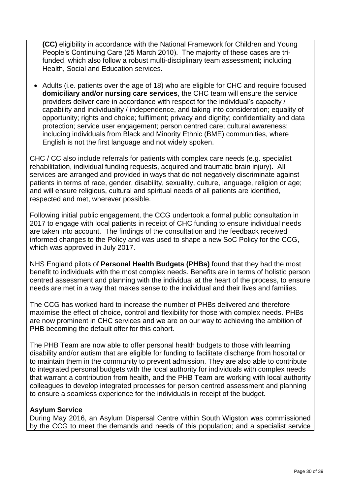**(CC)** eligibility in accordance with the National Framework for Children and Young People's Continuing Care (25 March 2010). The majority of these cases are trifunded, which also follow a robust multi-disciplinary team assessment; including Health, Social and Education services.

• Adults (i.e. patients over the age of 18) who are eligible for CHC and require focused **domiciliary and/or nursing care services**, the CHC team will ensure the service providers deliver care in accordance with respect for the individual's capacity / capability and individuality / independence, and taking into consideration; equality of opportunity; rights and choice; fulfilment; privacy and dignity; confidentiality and data protection; service user engagement; person centred care; cultural awareness; including individuals from Black and Minority Ethnic (BME) communities, where English is not the first language and not widely spoken.

CHC / CC also include referrals for patients with complex care needs (e.g. specialist rehabilitation, individual funding requests, acquired and traumatic brain injury). All services are arranged and provided in ways that do not negatively discriminate against patients in terms of race, gender, disability, sexuality, culture, language, religion or age; and will ensure religious, cultural and spiritual needs of all patients are identified, respected and met, wherever possible.

Following initial public engagement, the CCG undertook a formal public consultation in 2017 to engage with local patients in receipt of CHC funding to ensure individual needs are taken into account. The findings of the consultation and the feedback received informed changes to the Policy and was used to shape a new SoC Policy for the CCG, which was approved in July 2017.

NHS England pilots of **Personal Health Budgets (PHBs)** found that they had the most benefit to individuals with the most complex needs. Benefits are in terms of holistic person centred assessment and planning with the individual at the heart of the process, to ensure needs are met in a way that makes sense to the individual and their lives and families.

The CCG has worked hard to increase the number of PHBs delivered and therefore maximise the effect of choice, control and flexibility for those with complex needs. PHBs are now prominent in CHC services and we are on our way to achieving the ambition of PHB becoming the default offer for this cohort.

The PHB Team are now able to offer personal health budgets to those with learning disability and/or autism that are eligible for funding to facilitate discharge from hospital or to maintain them in the community to prevent admission. They are also able to contribute to integrated personal budgets with the local authority for individuals with complex needs that warrant a contribution from health, and the PHB Team are working with local authority colleagues to develop integrated processes for person centred assessment and planning to ensure a seamless experience for the individuals in receipt of the budget.

#### **Asylum Service**

During May 2016, an Asylum Dispersal Centre within South Wigston was commissioned by the CCG to meet the demands and needs of this population; and a specialist service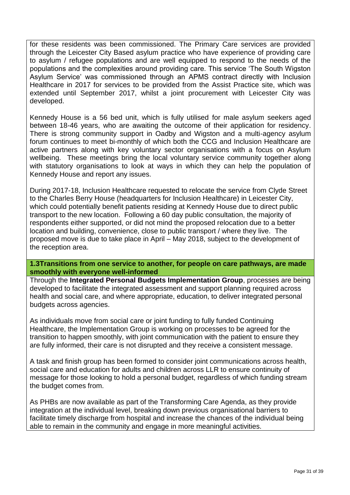for these residents was been commissioned. The Primary Care services are provided through the Leicester City Based asylum practice who have experience of providing care to asylum / refugee populations and are well equipped to respond to the needs of the populations and the complexities around providing care. This service 'The South Wigston Asylum Service' was commissioned through an APMS contract directly with Inclusion Healthcare in 2017 for services to be provided from the Assist Practice site, which was extended until September 2017, whilst a joint procurement with Leicester City was developed.

Kennedy House is a 56 bed unit, which is fully utilised for male asylum seekers aged between 18-46 years, who are awaiting the outcome of their application for residency. There is strong community support in Oadby and Wigston and a multi-agency asylum forum continues to meet bi-monthly of which both the CCG and Inclusion Healthcare are active partners along with key voluntary sector organisations with a focus on Asylum wellbeing. These meetings bring the local voluntary service community together along with statutory organisations to look at ways in which they can help the population of Kennedy House and report any issues.

During 2017-18, Inclusion Healthcare requested to relocate the service from Clyde Street to the Charles Berry House (headquarters for Inclusion Healthcare) in Leicester City, which could potentially benefit patients residing at Kennedy House due to direct public transport to the new location. Following a 60 day public consultation, the majority of respondents either supported, or did not mind the proposed relocation due to a better location and building, convenience, close to public transport / where they live. The proposed move is due to take place in April – May 2018, subject to the development of the reception area.

**1.3Transitions from one service to another, for people on care pathways, are made smoothly with everyone well-informed**

Through the **Integrated Personal Budgets Implementation Group**, processes are being developed to facilitate the integrated assessment and support planning required across health and social care, and where appropriate, education, to deliver integrated personal budgets across agencies.

As individuals move from social care or joint funding to fully funded Continuing Healthcare, the Implementation Group is working on processes to be agreed for the transition to happen smoothly, with joint communication with the patient to ensure they are fully informed, their care is not disrupted and they receive a consistent message.

A task and finish group has been formed to consider joint communications across health, social care and education for adults and children across LLR to ensure continuity of message for those looking to hold a personal budget, regardless of which funding stream the budget comes from.

As PHBs are now available as part of the Transforming Care Agenda, as they provide integration at the individual level, breaking down previous organisational barriers to facilitate timely discharge from hospital and increase the chances of the individual being able to remain in the community and engage in more meaningful activities.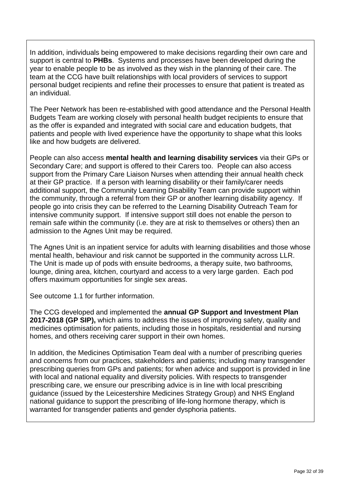In addition, individuals being empowered to make decisions regarding their own care and support is central to **PHBs**. Systems and processes have been developed during the year to enable people to be as involved as they wish in the planning of their care. The team at the CCG have built relationships with local providers of services to support personal budget recipients and refine their processes to ensure that patient is treated as an individual.

The Peer Network has been re-established with good attendance and the Personal Health Budgets Team are working closely with personal health budget recipients to ensure that as the offer is expanded and integrated with social care and education budgets, that patients and people with lived experience have the opportunity to shape what this looks like and how budgets are delivered.

People can also access **mental health and learning disability services** via their GPs or Secondary Care; and support is offered to their Carers too. People can also access support from the Primary Care Liaison Nurses when attending their annual health check at their GP practice. If a person with learning disability or their family/carer needs additional support, the Community Learning Disability Team can provide support within the community, through a referral from their GP or another learning disability agency. If people go into crisis they can be referred to the Learning Disability Outreach Team for intensive community support. If intensive support still does not enable the person to remain safe within the community (i.e. they are at risk to themselves or others) then an admission to the Agnes Unit may be required.

The Agnes Unit is an inpatient service for adults with learning disabilities and those whose mental health, behaviour and risk cannot be supported in the community across LLR. The Unit is made up of pods with ensuite bedrooms, a therapy suite, two bathrooms, lounge, dining area, kitchen, courtyard and access to a very large garden. Each pod offers maximum opportunities for single sex areas.

See outcome 1.1 for further information.

The CCG developed and implemented the **annual GP Support and Investment Plan 2017-2018 (GP SIP),** which aims to address the issues of improving safety, quality and medicines optimisation for patients, including those in hospitals, residential and nursing homes, and others receiving carer support in their own homes.

In addition, the Medicines Optimisation Team deal with a number of prescribing queries and concerns from our practices, stakeholders and patients; including many transgender prescribing queries from GPs and patients; for when advice and support is provided in line with local and national equality and diversity policies. With respects to transgender prescribing care, we ensure our prescribing advice is in line with local prescribing guidance (issued by the Leicestershire Medicines Strategy Group) and NHS England national guidance to support the prescribing of life-long hormone therapy, which is warranted for transgender patients and gender dysphoria patients.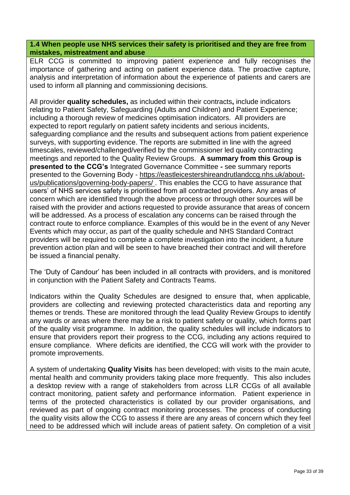**1.4 When people use NHS services their safety is prioritised and they are free from mistakes, mistreatment and abuse**

ELR CCG is committed to improving patient experience and fully recognises the importance of gathering and acting on patient experience data. The proactive capture, analysis and interpretation of information about the experience of patients and carers are used to inform all planning and commissioning decisions.

All provider **quality schedules,** as included within their contracts**,** include indicators relating to Patient Safety, Safeguarding (Adults and Children) and Patient Experience; including a thorough review of medicines optimisation indicators. All providers are expected to report regularly on patient safety incidents and serious incidents, safeguarding compliance and the results and subsequent actions from patient experience surveys, with supporting evidence. The reports are submitted in line with the agreed timescales, reviewed/challenged/verified by the commissioner led quality contracting meetings and reported to the Quality Review Groups. **A summary from this Group is presented to the CCG's** Integrated Governance Committee **-** see summary reports presented to the Governing Body - [https://eastleicestershireandrutlandccg.nhs.uk/about](https://eastleicestershireandrutlandccg.nhs.uk/about-us/publications/governing-body-papers/)[us/publications/governing-body-papers/](https://eastleicestershireandrutlandccg.nhs.uk/about-us/publications/governing-body-papers/) . This enables the CCG to have assurance that users' of NHS services safety is prioritised from all contracted providers. Any areas of concern which are identified through the above process or through other sources will be raised with the provider and actions requested to provide assurance that areas of concern will be addressed. As a process of escalation any concerns can be raised through the contract route to enforce compliance. Examples of this would be in the event of any Never Events which may occur, as part of the quality schedule and NHS Standard Contract providers will be required to complete a complete investigation into the incident, a future prevention action plan and will be seen to have breached their contract and will therefore be issued a financial penalty.

The 'Duty of Candour' has been included in all contracts with providers, and is monitored in conjunction with the Patient Safety and Contracts Teams.

Indicators within the Quality Schedules are designed to ensure that, when applicable, providers are collecting and reviewing protected characteristics data and reporting any themes or trends. These are monitored through the lead Quality Review Groups to identify any wards or areas where there may be a risk to patient safety or quality, which forms part of the quality visit programme. In addition, the quality schedules will include indicators to ensure that providers report their progress to the CCG, including any actions required to ensure compliance. Where deficits are identified, the CCG will work with the provider to promote improvements.

A system of undertaking **Quality Visits** has been developed; with visits to the main acute, mental health and community providers taking place more frequently. This also includes a desktop review with a range of stakeholders from across LLR CCGs of all available contract monitoring, patient safety and performance information. Patient experience in terms of the protected characteristics is collated by our provider organisations, and reviewed as part of ongoing contract monitoring processes. The process of conducting the quality visits allow the CCG to assess if there are any areas of concern which they feel need to be addressed which will include areas of patient safety. On completion of a visit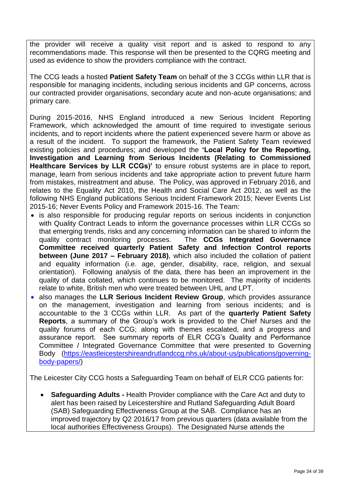the provider will receive a quality visit report and is asked to respond to any recommendations made. This response will then be presented to the CQRG meeting and used as evidence to show the providers compliance with the contract.

The CCG leads a hosted **Patient Safety Team** on behalf of the 3 CCGs within LLR that is responsible for managing incidents, including serious incidents and GP concerns, across our contracted provider organisations, secondary acute and non-acute organisations; and primary care.

During 2015-2016, NHS England introduced a new Serious Incident Reporting Framework, which acknowledged the amount of time required to investigate serious incidents, and to report incidents where the patient experienced severe harm or above as a result of the incident. To support the framework, the Patient Safety Team reviewed existing policies and procedures; and developed the **'Local Policy for the Reporting, Investigation and Learning from Serious Incidents (Relating to Commissioned Healthcare Services by LLR CCGs)'** to ensure robust systems are in place to report, manage, learn from serious incidents and take appropriate action to prevent future harm from mistakes, mistreatment and abuse. The Policy, was approved in February 2016, and relates to the Equality Act 2010, the Health and Social Care Act 2012, as well as the following NHS England publications Serious Incident Framework 2015; Never Events List 2015-16; Never Events Policy and Framework 2015-16. The Team:

- is also responsible for producing regular reports on serious incidents in conjunction with Quality Contract Leads to inform the governance processes within LLR CCGs so that emerging trends, risks and any concerning information can be shared to inform the quality contract monitoring processes. The **CCGs Integrated Governance Committee received quarterly Patient Safety and Infection Control reports between (June 2017 – February 2018)**, which also included the collation of patient and equality information (i.e. age, gender, disability, race, religion, and sexual orientation). Following analysis of the data, there has been an improvement in the quality of data collated, which continues to be monitored. The majority of incidents relate to white, British men who were treated between UHL and LPT.
- also manages the **LLR Serious Incident Review Group**, which provides assurance on the management, investigation and learning from serious incidents; and is accountable to the 3 CCGs within LLR. As part of the **quarterly Patient Safety Reports**, a summary of the Group's work is provided to the Chief Nurses and the quality forums of each CCG; along with themes escalated, and a progress and assurance report. See summary reports of ELR CCG's Quality and Performance Committee / Integrated Governance Committee that were presented to Governing Body [\(https://eastleicestershireandrutlandccg.nhs.uk/about-us/publications/governing](https://eastleicestershireandrutlandccg.nhs.uk/about-us/publications/governing-body-papers/)[body-papers/\)](https://eastleicestershireandrutlandccg.nhs.uk/about-us/publications/governing-body-papers/)

The Leicester City CCG hosts a Safeguarding Team on behalf of ELR CCG patients for:

 **Safeguarding Adults -** Health Provider compliance with the Care Act and duty to alert has been raised by Leicestershire and Rutland Safeguarding Adult Board (SAB) Safeguarding Effectiveness Group at the SAB. Compliance has an improved trajectory by Q2 2016/17 from previous quarters (data available from the local authorities Effectiveness Groups). The Designated Nurse attends the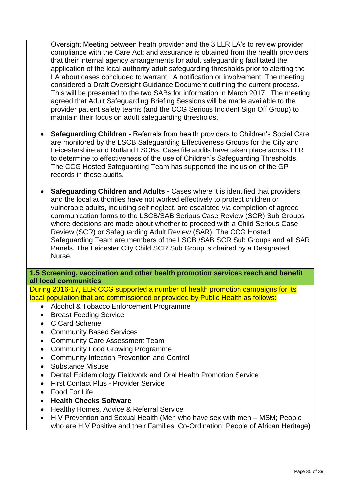Oversight Meeting between heath provider and the 3 LLR LA's to review provider compliance with the Care Act; and assurance is obtained from the health providers that their internal agency arrangements for adult safeguarding facilitated the application of the local authority adult safeguarding thresholds prior to alerting the LA about cases concluded to warrant LA notification or involvement. The meeting considered a Draft Oversight Guidance Document outlining the current process. This will be presented to the two SABs for information in March 2017. The meeting agreed that Adult Safeguarding Briefing Sessions will be made available to the provider patient safety teams (and the CCG Serious Incident Sign Off Group) to maintain their focus on adult safeguarding thresholds.

- **Safeguarding Children -** Referrals from health providers to Children's Social Care are monitored by the LSCB Safeguarding Effectiveness Groups for the City and Leicestershire and Rutland LSCBs. Case file audits have taken place across LLR to determine to effectiveness of the use of Children's Safeguarding Thresholds. The CCG Hosted Safeguarding Team has supported the inclusion of the GP records in these audits.
- **Safeguarding Children and Adults -** Cases where it is identified that providers and the local authorities have not worked effectively to protect children or vulnerable adults, including self neglect, are escalated via completion of agreed communication forms to the LSCB/SAB Serious Case Review (SCR) Sub Groups where decisions are made about whether to proceed with a Child Serious Case Review (SCR) or Safeguarding Adult Review (SAR). The CCG Hosted Safeguarding Team are members of the LSCB /SAB SCR Sub Groups and all SAR Panels. The Leicester City Child SCR Sub Group is chaired by a Designated Nurse.

#### **1.5 Screening, vaccination and other health promotion services reach and benefit all local communities**

During 2016-17, ELR CCG supported a number of health promotion campaigns for its local population that are commissioned or provided by Public Health as follows:

- Alcohol & Tobacco Enforcement Programme
- Breast Feeding Service
- C Card Scheme
- Community Based Services
- Community Care Assessment Team
- Community Food Growing Programme
- Community Infection Prevention and Control
- Substance Misuse
- Dental Epidemiology Fieldwork and Oral Health Promotion Service
- First Contact Plus Provider Service
- Food For Life
- **Health Checks Software**
- Healthy Homes, Advice & Referral Service
- HIV Prevention and Sexual Health (Men who have sex with men MSM; People who are HIV Positive and their Families; Co-Ordination; People of African Heritage)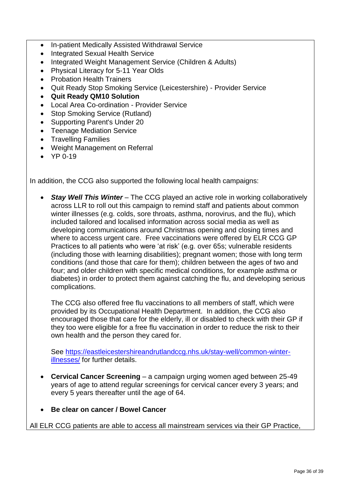- In-patient Medically Assisted Withdrawal Service
- Integrated Sexual Health Service
- Integrated Weight Management Service (Children & Adults)
- Physical Literacy for 5-11 Year Olds
- Probation Health Trainers
- Quit Ready Stop Smoking Service (Leicestershire) Provider Service
- **Quit Ready QM10 Solution**
- Local Area Co-ordination Provider Service
- Stop Smoking Service (Rutland)
- Supporting Parent's Under 20
- Teenage Mediation Service
- Travelling Families
- Weight Management on Referral
- $YP 0-19$

In addition, the CCG also supported the following local health campaigns:

 *Stay Well This Winter* – The CCG played an active role in working collaboratively across LLR to roll out this campaign to remind staff and patients about common winter illnesses (e.g. colds, sore throats, asthma, norovirus, and the flu), which included tailored and localised information across social media as well as developing communications around Christmas opening and closing times and where to access urgent care. Free vaccinations were offered by ELR CCG GP Practices to all patients who were 'at risk' (e.g. over 65s; vulnerable residents (including those with learning disabilities); pregnant women; those with long term conditions (and those that care for them); children between the ages of two and four; and older children with specific medical conditions, for example asthma or diabetes) in order to protect them against catching the flu, and developing serious complications.

The CCG also offered free flu vaccinations to all members of staff, which were provided by its Occupational Health Department. In addition, the CCG also encouraged those that care for the elderly, ill or disabled to check with their GP if they too were eligible for a free flu vaccination in order to reduce the risk to their own health and the person they cared for.

See [https://eastleicestershireandrutlandccg.nhs.uk/stay-well/common-winter](https://eastleicestershireandrutlandccg.nhs.uk/stay-well/common-winter-illnesses/)[illnesses/](https://eastleicestershireandrutlandccg.nhs.uk/stay-well/common-winter-illnesses/) for further details.

- **Cervical Cancer Screening** a campaign urging women aged between 25-49 years of age to attend regular screenings for cervical cancer every 3 years; and every 5 years thereafter until the age of 64.
- **Be clear on cancer / Bowel Cancer**

All ELR CCG patients are able to access all mainstream services via their GP Practice,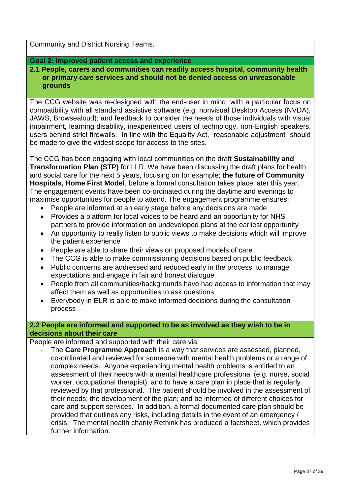Community and District Nursing Teams.

#### **Goal 2: Improved patient access and experience**

**2.1 People, carers and communities can readily access hospital, community health or primary care services and should not be denied access on unreasonable grounds**

The CCG website was re-designed with the end-user in mind; with a particular focus on compatibility with all standard assistive software (e.g. nonvisual Desktop Access (NVDA), JAWS, Browsealoud); and feedback to consider the needs of those individuals with visual impairment, learning disability, inexperienced users of technology, non-English speakers, users behind strict firewalls. In line with the Equality Act, "reasonable adjustment" should be made to give the widest scope for access to the sites.

The CCG has been engaging with local communities on the draft **Sustainability and Transformation Plan (STP)** for LLR. We have been discussing the draft plans for health and social care for the next 5 years, focusing on for example; **the future of Community Hospitals, Home First Model**, before a formal consultation takes place later this year. The engagement events have been co-ordinated during the daytime and evenings to maximise opportunities for people to attend. The engagement programme ensures:

- People are informed at an early stage before any decisions are made
- Provides a platform for local voices to be heard and an opportunity for NHS partners to provide information on undeveloped plans at the earliest opportunity
- An opportunity to really listen to public views to make decisions which will improve the patient experience
- People are able to share their views on proposed models of care
- The CCG is able to make commissioning decisions based on public feedback
- Public concerns are addressed and reduced early in the process, to manage expectations and engage in fair and honest dialogue
- People from all communities/backgrounds have had access to information that may affect them as well as opportunities to ask questions
- Everybody in ELR is able to make informed decisions during the consultation process

#### **2.2 People are informed and supported to be as involved as they wish to be in decisions about their care**

People are informed and supported with their care via:

The **Care Programme Approach** is a way that services are assessed, planned, co-ordinated and reviewed for someone with mental health problems or a range of complex needs. Anyone experiencing mental health problems is entitled to an assessment of their needs with a mental healthcare professional (e.g. nurse, social worker, occupational therapist), and to have a care plan in place that is regularly reviewed by that professional. The patient should be involved in the assessment of their needs; the development of the plan; and be informed of different choices for care and support services. In addition, a formal documented care plan should be provided that outlines any risks, including details in the event of an emergency / crisis. The mental health charity Rethink has produced a factsheet, which provides further information.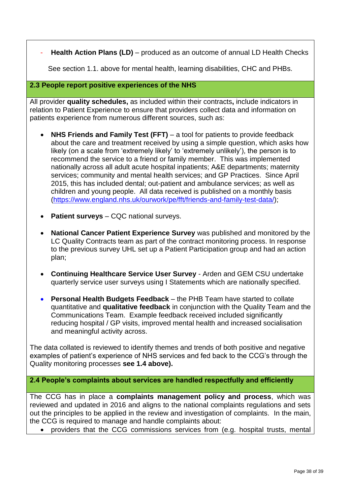**Health Action Plans (LD)** – produced as an outcome of annual LD Health Checks

See section 1.1. above for mental health, learning disabilities, CHC and PHBs.

#### **2.3 People report positive experiences of the NHS**

All provider **quality schedules,** as included within their contracts**,** include indicators in relation to Patient Experience to ensure that providers collect data and information on patients experience from numerous different sources, such as:

- **NHS Friends and Family Test (FFT)** a tool for patients to provide feedback about the care and treatment received by using a simple question, which asks how likely (on a scale from 'extremely likely' to 'extremely unlikely'), the person is to recommend the service to a friend or family member. This was implemented nationally across all adult acute hospital inpatients; A&E departments; maternity services; community and mental health services; and GP Practices. Since April 2015, this has included dental; out-patient and ambulance services; as well as children and young people. All data received is published on a monthly basis [\(https://www.england.nhs.uk/ourwork/pe/fft/friends-and-family-test-data/\)](https://www.england.nhs.uk/ourwork/pe/fft/friends-and-family-test-data/);
- **Patient surveys** CQC national surveys.
- **National Cancer Patient Experience Survey** was published and monitored by the LC Quality Contracts team as part of the contract monitoring process. In response to the previous survey UHL set up a Patient Participation group and had an action plan;
- **Continuing Healthcare Service User Survey** Arden and GEM CSU undertake quarterly service user surveys using I Statements which are nationally specified.
- **Personal Health Budgets Feedback** the PHB Team have started to collate quantitative and **qualitative feedback** in conjunction with the Quality Team and the Communications Team. Example feedback received included significantly reducing hospital / GP visits, improved mental health and increased socialisation and meaningful activity across.

The data collated is reviewed to identify themes and trends of both positive and negative examples of patient's experience of NHS services and fed back to the CCG's through the Quality monitoring processes **see 1.4 above).**

**2.4 People's complaints about services are handled respectfully and efficiently**

The CCG has in place a **complaints management policy and process**, which was reviewed and updated in 2016 and aligns to the national complaints regulations and sets out the principles to be applied in the review and investigation of complaints. In the main, the CCG is required to manage and handle complaints about:

providers that the CCG commissions services from (e.g. hospital trusts, mental